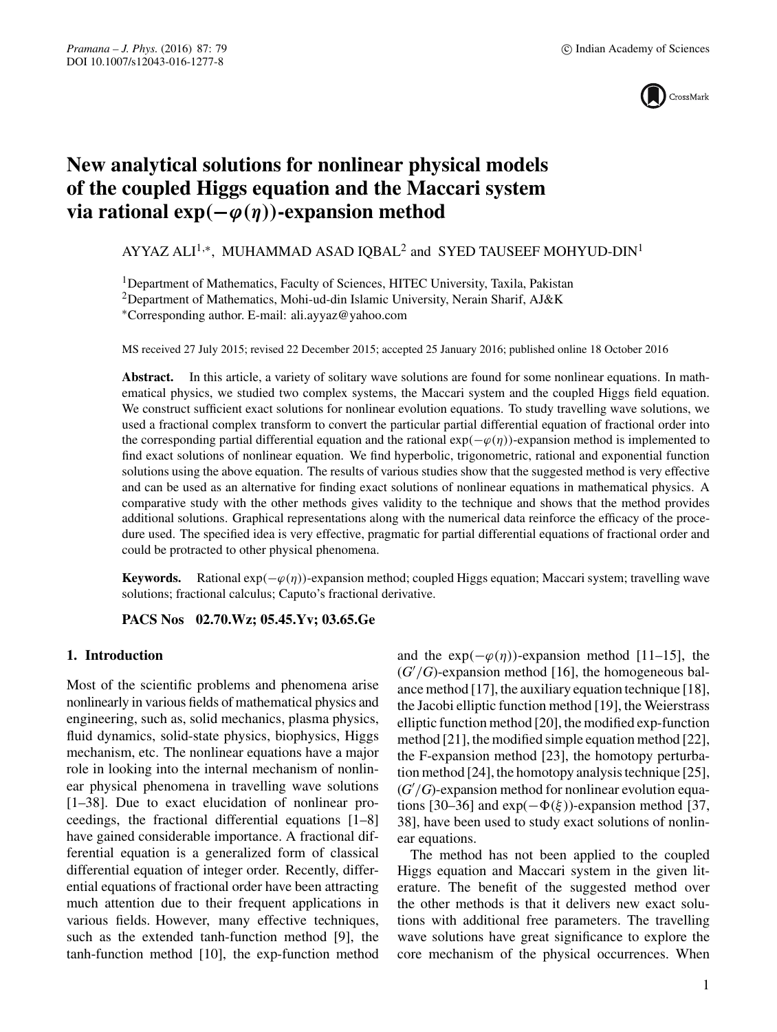

# **New analytical solutions for nonlinear physical models of the coupled Higgs equation and the Maccari system** via rational  $exp(-\varphi(\eta))$ -expansion method

AYYAZ ALI<sup>1,\*</sup>, MUHAMMAD ASAD IOBAL<sup>2</sup> and SYED TAUSEEF MOHYUD-DIN<sup>1</sup>

<sup>1</sup>Department of Mathematics, Faculty of Sciences, HITEC University, Taxila, Pakistan

<sup>2</sup>Department of Mathematics, Mohi-ud-din Islamic University, Nerain Sharif, AJ&K

∗Corresponding author. E-mail: ali.ayyaz@yahoo.com

MS received 27 July 2015; revised 22 December 2015; accepted 25 January 2016; published online 18 October 2016

**Abstract.** In this article, a variety of solitary wave solutions are found for some nonlinear equations. In mathematical physics, we studied two complex systems, the Maccari system and the coupled Higgs field equation. We construct sufficient exact solutions for nonlinear evolution equations. To study travelling wave solutions, we used a fractional complex transform to convert the particular partial differential equation of fractional order into the corresponding partial differential equation and the rational  $exp(-\varphi(\eta))$ -expansion method is implemented to find exact solutions of nonlinear equation. We find hyperbolic, trigonometric, rational and exponential function solutions using the above equation. The results of various studies show that the suggested method is very effective and can be used as an alternative for finding exact solutions of nonlinear equations in mathematical physics. A comparative study with the other methods gives validity to the technique and shows that the method provides additional solutions. Graphical representations along with the numerical data reinforce the efficacy of the procedure used. The specified idea is very effective, pragmatic for partial differential equations of fractional order and could be protracted to other physical phenomena.

**Keywords.** Rational  $exp(-\varphi(\eta))$ -expansion method; coupled Higgs equation; Maccari system; travelling wave solutions; fractional calculus; Caputo's fractional derivative.

**PACS Nos 02.70.Wz; 05.45.Yv; 03.65.Ge**

## **1. Introduction**

Most of the scientific problems and phenomena arise nonlinearly in various fields of mathematical physics and engineering, such as, solid mechanics, plasma physics, fluid dynamics, solid-state physics, biophysics, Higgs mechanism, etc. The nonlinear equations have a major role in looking into the internal mechanism of nonlinear physical phenomena in travelling wave solutions [1–38]. Due to exact elucidation of nonlinear proceedings, the fractional differential equations [1–8] have gained considerable importance. A fractional differential equation is a generalized form of classical differential equation of integer order. Recently, differential equations of fractional order have been attracting much attention due to their frequent applications in various fields. However, many effective techniques, such as the extended tanh-function method [9], the tanh-function method [10], the exp-function method and the  $exp(-\varphi(\eta))$ -expansion method [11–15], the  $(G'/G)$ -expansion method [16], the homogeneous balance method [17], the auxiliary equation technique [18], the Jacobi elliptic function method [19], the Weierstrass elliptic function method [20], the modified exp-function method [21], the modified simple equation method [22], the F-expansion method [23], the homotopy perturbation method [24], the homotopy analysis technique [25], (*G* /*G*)-expansion method for nonlinear evolution equations [30–36] and  $exp(-\Phi(\xi))$ -expansion method [37, 38], have been used to study exact solutions of nonlinear equations.

The method has not been applied to the coupled Higgs equation and Maccari system in the given literature. The benefit of the suggested method over the other methods is that it delivers new exact solutions with additional free parameters. The travelling wave solutions have great significance to explore the core mechanism of the physical occurrences. When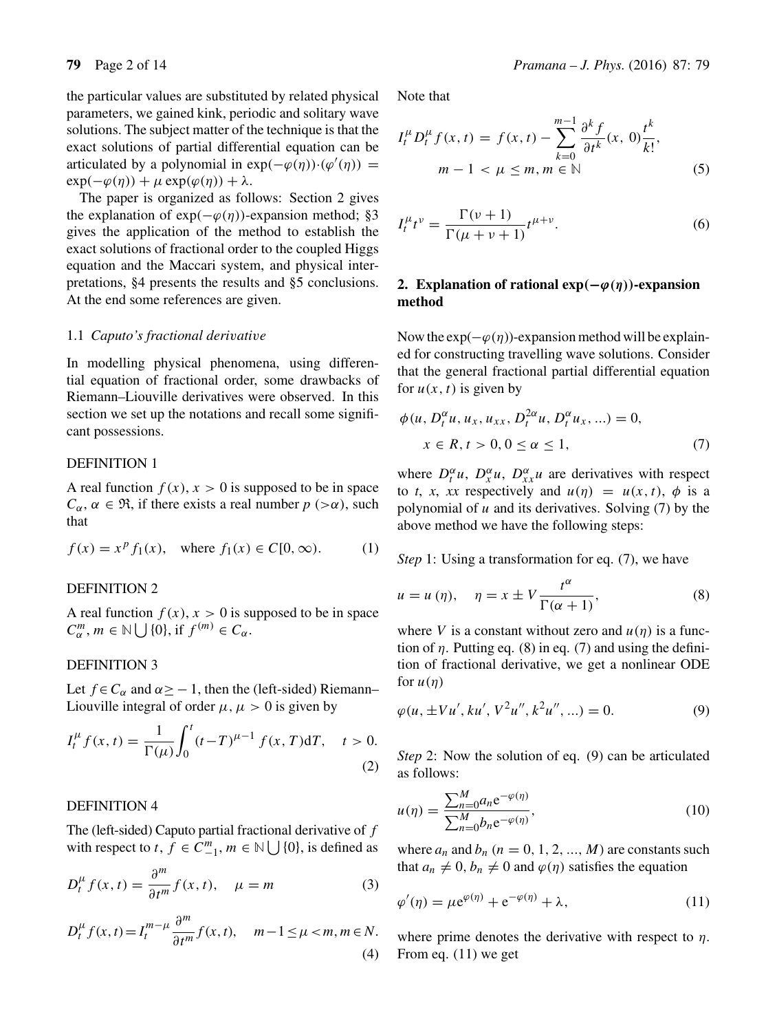the particular values are substituted by related physical parameters, we gained kink, periodic and solitary wave solutions. The subject matter of the technique is that the exact solutions of partial differential equation can be articulated by a polynomial in  $exp(-\varphi(\eta))\cdot(\varphi'(\eta))$  =  $\exp(-\varphi(\eta)) + \mu \exp(\varphi(\eta)) + \lambda$ .

The paper is organized as follows: Section 2 gives the explanation of  $exp(-\varphi(\eta))$ -expansion method; §3 gives the application of the method to establish the exact solutions of fractional order to the coupled Higgs equation and the Maccari system, and physical interpretations, §4 presents the results and §5 conclusions. At the end some references are given.

#### 1.1 *Caputo's fractional deri*v*ati*v*e*

In modelling physical phenomena, using differential equation of fractional order, some drawbacks of Riemann–Liouville derivatives were observed. In this section we set up the notations and recall some significant possessions.

## DEFINITION 1

A real function  $f(x)$ ,  $x > 0$  is supposed to be in space  $C_{\alpha}$ ,  $\alpha \in \mathfrak{R}$ , if there exists a real number  $p > \alpha$ ), such that

$$
f(x) = xp f1(x)
$$
, where  $f1(x) \in C[0, \infty)$ . (1)

#### DEFINITION 2

A real function  $f(x)$ ,  $x > 0$  is supposed to be in space  $C_{\alpha}^{m}$ ,  $m \in \mathbb{N} \bigcup \{0\}$ , if  $f^{(m)} \in C_{\alpha}$ .

## DEFINITION 3

Let  $f \in C_\alpha$  and  $\alpha \ge -1$ , then the (left-sided) Riemann– Liouville integral of order  $\mu$ ,  $\mu > 0$  is given by

$$
I_t^{\mu} f(x, t) = \frac{1}{\Gamma(\mu)} \int_0^t (t - T)^{\mu - 1} f(x, T) dT, \quad t > 0.
$$
\n(2)

## DEFINITION 4

The (left-sided) Caputo partial fractional derivative of f with respect to  $t, \bar{f} \in \overline{C}^m_{-1}, m \in \mathbb{N} \cup \{0\}$ , is defined as

$$
D_t^{\mu} f(x, t) = \frac{\partial^m}{\partial t^m} f(x, t), \quad \mu = m \tag{3}
$$

$$
D_t^{\mu} f(x, t) = I_t^{m-\mu} \frac{\partial^m}{\partial t^m} f(x, t), \quad m-1 \le \mu < m, m \in N.
$$
\n(4)

Note that

$$
I_t^{\mu} D_t^{\mu} f(x, t) = f(x, t) - \sum_{k=0}^{m-1} \frac{\partial^k f}{\partial t^k}(x, 0) \frac{t^k}{k!},
$$
  
\n
$$
m - 1 < \mu \le m, m \in \mathbb{N} \tag{5}
$$

$$
I_t^{\mu}t^{\nu} = \frac{\Gamma(\nu+1)}{\Gamma(\mu+\nu+1)}t^{\mu+\nu}.
$$
 (6)

# 2. Explanation of rational  $exp(-\varphi(\eta))$ -expansion **method**

Now the  $exp(-\varphi(\eta))$ -expansion method will be explained for constructing travelling wave solutions. Consider that the general fractional partial differential equation for  $u(x, t)$  is given by

$$
\phi(u, D_t^{\alpha}u, u_x, u_{xx}, D_t^{2\alpha}u, D_t^{\alpha}u_x, ...)=0,x \in R, t > 0, 0 \le \alpha \le 1,
$$
 (7)

where  $D_t^{\alpha}u$ ,  $D_x^{\alpha}u$ ,  $D_{xx}^{\alpha}u$  are derivatives with respect to *t*, *x*, *xx* respectively and  $u(\eta) = u(x, t)$ ,  $\phi$  is a polynomial of  $u$  and its derivatives. Solving (7) by the above method we have the following steps:

*Step* 1: Using a transformation for eq. (7), we have

$$
u = u(\eta), \quad \eta = x \pm V \frac{t^{\alpha}}{\Gamma(\alpha + 1)}, \tag{8}
$$

where V is a constant without zero and  $u(\eta)$  is a function of  $\eta$ . Putting eq. (8) in eq. (7) and using the definition of fractional derivative, we get a nonlinear ODE for  $u(\eta)$ 

$$
\varphi(u, \pm Vu', ku', V^2u'', k^2u'', \ldots) = 0.
$$
\n(9)

*Step* 2: Now the solution of eq. (9) can be articulated as follows:

$$
u(\eta) = \frac{\sum_{n=0}^{M} a_n e^{-\varphi(\eta)}}{\sum_{n=0}^{M} b_n e^{-\varphi(\eta)}},
$$
\n(10)

where  $a_n$  and  $b_n$   $(n = 0, 1, 2, ..., M)$  are constants such that  $a_n \neq 0$ ,  $b_n \neq 0$  and  $\varphi(\eta)$  satisfies the equation

$$
\varphi'(\eta) = \mu e^{\varphi(\eta)} + e^{-\varphi(\eta)} + \lambda,\tag{11}
$$

where prime denotes the derivative with respect to  $\eta$ . From eq. (11) we get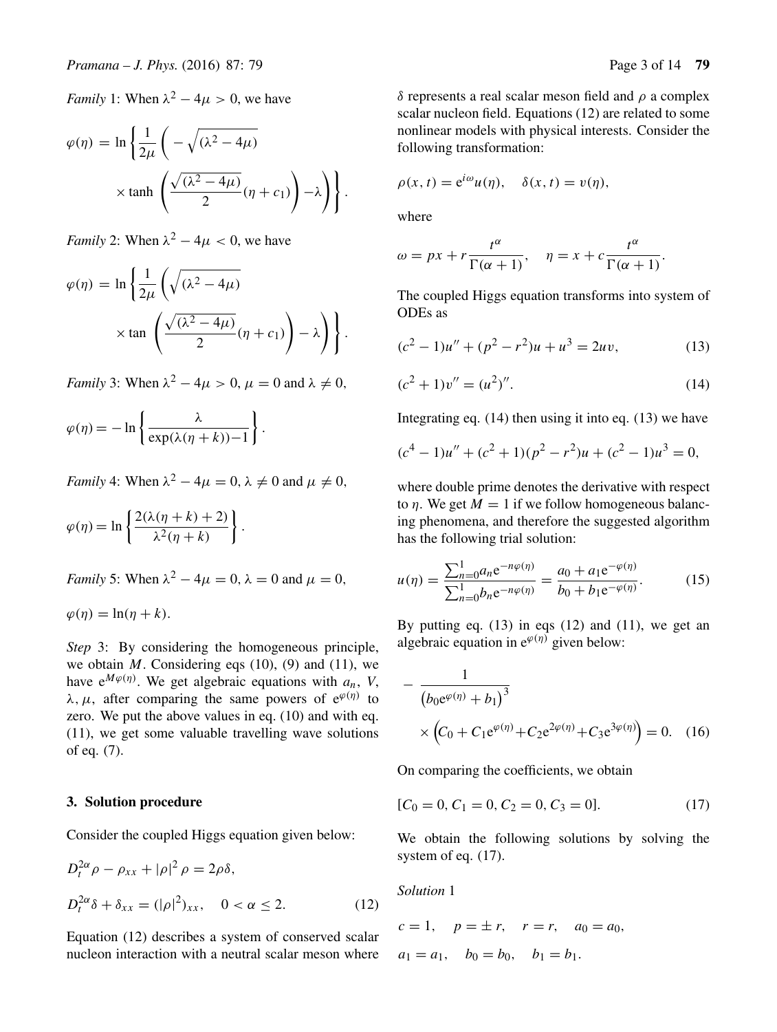*Family* 1: When  $\lambda^2 - 4\mu > 0$ , we have

$$
\varphi(\eta) = \ln \left\{ \frac{1}{2\mu} \left( -\sqrt{(\lambda^2 - 4\mu)} \times \tanh \left( \frac{\sqrt{(\lambda^2 - 4\mu)}}{2} (\eta + c_1) \right) - \lambda \right) \right\}.
$$

*Family* 2: When  $\lambda^2 - 4\mu < 0$ , we have

$$
\varphi(\eta) = \ln \left\{ \frac{1}{2\mu} \left( \sqrt{(\lambda^2 - 4\mu)} \times \tan \left( \frac{\sqrt{(\lambda^2 - 4\mu)}}{2} (\eta + c_1) \right) - \lambda \right) \right\}.
$$

*Family* 3: When  $\lambda^2 - 4\mu > 0$ ,  $\mu = 0$  and  $\lambda \neq 0$ ,

$$
\varphi(\eta) = -\ln\left\{\frac{\lambda}{\exp(\lambda(\eta + k)) - 1}\right\}.
$$

*Family* 4: When  $\lambda^2 - 4\mu = 0$ ,  $\lambda \neq 0$  and  $\mu \neq 0$ ,

$$
\varphi(\eta) = \ln \left\{ \frac{2(\lambda(\eta + k) + 2)}{\lambda^2(\eta + k)} \right\}.
$$

*Family* 5: When  $\lambda^2 - 4\mu = 0$ ,  $\lambda = 0$  and  $\mu = 0$ ,

$$
\varphi(\eta) = \ln(\eta + k).
$$

*Step* 3: By considering the homogeneous principle, we obtain  $M$ . Considering eqs (10), (9) and (11), we have  $e^{M\varphi(\eta)}$ . We get algebraic equations with  $a_n$ , *V*,  $\lambda$ ,  $\mu$ , after comparing the same powers of  $e^{\varphi(\eta)}$  to zero. We put the above values in eq. (10) and with eq. (11), we get some valuable travelling wave solutions of eq. (7).

## **3. Solution procedure**

Consider the coupled Higgs equation given below:

$$
D_t^{2\alpha}\rho - \rho_{xx} + |\rho|^2 \rho = 2\rho \delta,
$$
  

$$
D_t^{2\alpha}\delta + \delta_{xx} = (|\rho|^2)_{xx}, \quad 0 < \alpha \le 2.
$$
 (12)

Equation (12) describes a system of conserved scalar nucleon interaction with a neutral scalar meson where δ represents a real scalar meson field and ρ a complex scalar nucleon field. Equations (12) are related to some nonlinear models with physical interests. Consider the following transformation:

$$
\rho(x,t) = e^{i\omega}u(\eta), \quad \delta(x,t) = v(\eta),
$$

where

$$
\omega = px + r \frac{t^{\alpha}}{\Gamma(\alpha+1)}, \quad \eta = x + c \frac{t^{\alpha}}{\Gamma(\alpha+1)}.
$$

The coupled Higgs equation transforms into system of ODEs as

$$
(c2 - 1)u'' + (p2 - r2)u + u3 = 2uv,
$$
 (13)

$$
(c2 + 1)v'' = (u2)''.
$$
 (14)

Integrating eq. (14) then using it into eq. (13) we have

$$
(c4 - 1)u'' + (c2 + 1)(p2 - r2)u + (c2 - 1)u3 = 0,
$$

where double prime denotes the derivative with respect to  $\eta$ . We get  $M = 1$  if we follow homogeneous balancing phenomena, and therefore the suggested algorithm has the following trial solution:

$$
u(\eta) = \frac{\sum_{n=0}^{1} a_n e^{-n\varphi(\eta)}}{\sum_{n=0}^{1} b_n e^{-n\varphi(\eta)}} = \frac{a_0 + a_1 e^{-\varphi(\eta)}}{b_0 + b_1 e^{-\varphi(\eta)}}.
$$
 (15)

By putting eq.  $(13)$  in eqs  $(12)$  and  $(11)$ , we get an algebraic equation in  $e^{\varphi(\eta)}$  given below:

$$
-\frac{1}{(b_0 e^{\varphi(\eta)} + b_1)^3} \times (C_0 + C_1 e^{\varphi(\eta)} + C_2 e^{2\varphi(\eta)} + C_3 e^{3\varphi(\eta)}) = 0.
$$
 (16)

On comparing the coefficients, we obtain

$$
[C_0 = 0, C_1 = 0, C_2 = 0, C_3 = 0].
$$
 (17)

We obtain the following solutions by solving the system of eq. (17).

*Solution* 1

$$
c = 1
$$
,  $p = \pm r$ ,  $r = r$ ,  $a_0 = a_0$ ,  
 $a_1 = a_1$ ,  $b_0 = b_0$ ,  $b_1 = b_1$ .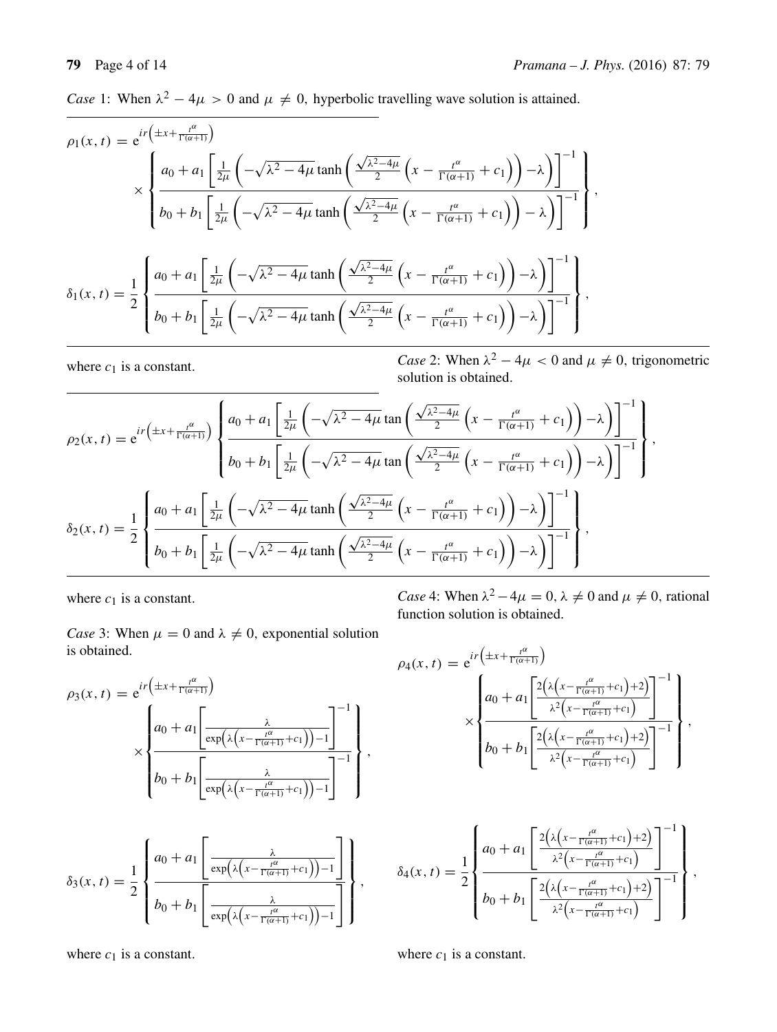*Case* 1: When  $\lambda^2 - 4\mu > 0$  and  $\mu \neq 0$ , hyperbolic travelling wave solution is attained.

$$
\rho_1(x,t) = e^{ir\left(\pm x + \frac{t^{\alpha}}{\Gamma(\alpha+1)}\right)} \times \begin{cases} a_0 + a_1 \left[ \frac{1}{2\mu} \left( -\sqrt{\lambda^2 - 4\mu} \tanh\left( \frac{\sqrt{\lambda^2 - 4\mu}}{2} \left( x - \frac{t^{\alpha}}{\Gamma(\alpha+1)} + c_1 \right) \right) - \lambda \right) \right]^{-1} \\ b_0 + b_1 \left[ \frac{1}{2\mu} \left( -\sqrt{\lambda^2 - 4\mu} \tanh\left( \frac{\sqrt{\lambda^2 - 4\mu}}{2} \left( x - \frac{t^{\alpha}}{\Gamma(\alpha+1)} + c_1 \right) \right) - \lambda \right) \right]^{-1} \\ \frac{1}{2\mu} \left\{ a_0 + a_1 \left[ \frac{1}{2\mu} \left( -\sqrt{\lambda^2 - 4\mu} \tanh\left( \frac{\sqrt{\lambda^2 - 4\mu}}{2} \left( x - \frac{t^{\alpha}}{\Gamma(\alpha+1)} + c_1 \right) \right) - \lambda \right) \right]^{-1} \\ b_0 + b_1 \left[ \frac{1}{2\mu} \left( -\sqrt{\lambda^2 - 4\mu} \tanh\left( \frac{\sqrt{\lambda^2 - 4\mu}}{2} \left( x - \frac{t^{\alpha}}{\Gamma(\alpha+1)} + c_1 \right) \right) - \lambda \right) \right]^{-1} \end{cases},
$$

where  $c_1$  is a constant. *Case* 2: When  $\lambda^2 - 4\mu < 0$  and  $\mu \neq 0$ , trigonometric solution is obtained.

$$
\rho_2(x,t) = e^{ir\left(\pm x + \frac{t^{\alpha}}{\Gamma(\alpha+1)}\right)} \left\{ \frac{a_0 + a_1 \left[\frac{1}{2\mu} \left(-\sqrt{\lambda^2 - 4\mu} \tan\left(\frac{\sqrt{\lambda^2 - 4\mu}}{2}\left(x - \frac{t^{\alpha}}{\Gamma(\alpha+1)} + c_1\right)\right) - \lambda\right)\right]^{-1}}{b_0 + b_1 \left[\frac{1}{2\mu} \left(-\sqrt{\lambda^2 - 4\mu} \tan\left(\frac{\sqrt{\lambda^2 - 4\mu}}{2}\left(x - \frac{t^{\alpha}}{\Gamma(\alpha+1)} + c_1\right)\right) - \lambda\right)\right]^{-1}} \right\},\newline
$$

$$
\delta_2(x,t) = \frac{1}{2} \left\{ \frac{a_0 + a_1 \left[\frac{1}{2\mu} \left(-\sqrt{\lambda^2 - 4\mu} \tanh\left(\frac{\sqrt{\lambda^2 - 4\mu}}{2}\left(x - \frac{t^{\alpha}}{\Gamma(\alpha+1)} + c_1\right)\right) - \lambda\right)\right]^{-1}}{b_0 + b_1 \left[\frac{1}{2\mu} \left(-\sqrt{\lambda^2 - 4\mu} \tanh\left(\frac{\sqrt{\lambda^2 - 4\mu}}{2}\left(x - \frac{t^{\alpha}}{\Gamma(\alpha+1)} + c_1\right)\right) - \lambda\right)\right]^{-1}} \right\},
$$

where  $c_1$  is a constant.

function solution is obtained.

*Case* 3: When  $\mu = 0$  and  $\lambda \neq 0$ , exponential solution is obtained.

$$
\rho_3(x,t) = e^{ir\left(\pm x + \frac{t^{\alpha}}{\Gamma(\alpha+1)}\right)} \times \begin{Bmatrix} a_0 + a_1 \left[ \frac{\lambda}{\exp\left(\lambda \left(x - \frac{t^{\alpha}}{\Gamma(\alpha+1)} + c_1\right)\right) - 1} \right]^{-1} \\ b_0 + b_1 \left[ \frac{\lambda}{\exp\left(\lambda \left(x - \frac{t^{\alpha}}{\Gamma(\alpha+1)} + c_1\right)\right) - 1} \right]^{-1} \end{Bmatrix},
$$

$$
\delta_3(x,t) = \frac{1}{2} \left\{ \frac{a_0 + a_1 \left[ \frac{\lambda}{\exp\left(\lambda \left(x - \frac{t^{\alpha}}{\Gamma(\alpha+1)} + c_1\right)\right) - 1} \right]}{b_0 + b_1 \left[ \frac{\lambda}{\exp\left(\lambda \left(x - \frac{t^{\alpha}}{\Gamma(\alpha+1)} + c_1\right)\right) - 1} \right]} \right\},\,
$$

where  $c_1$  is a constant.

*Case* 4: When  $\lambda^2 - 4\mu = 0$ ,  $\lambda \neq 0$  and  $\mu \neq 0$ , rational

$$
\rho_4(x,t) = e^{ir\left(\pm x + \frac{t^{\alpha}}{\Gamma(\alpha+1)}\right)} \times \begin{Bmatrix} a_0 + a_1 \left[ \frac{2\left(\lambda \left(x - \frac{t^{\alpha}}{\Gamma(\alpha+1)} + c_1\right) + 2\right)}{\lambda^2 \left(x - \frac{t^{\alpha}}{\Gamma(\alpha+1)} + c_1\right)} \right]^{-1} \\ b_0 + b_1 \left[ \frac{2\left(\lambda \left(x - \frac{t^{\alpha}}{\Gamma(\alpha+1)} + c_1\right) + 2\right)}{\lambda^2 \left(x - \frac{t^{\alpha}}{\Gamma(\alpha+1)} + c_1\right)} \right]^{-1} \end{Bmatrix},
$$

$$
\delta_4(x,t) = \frac{1}{2} \left\{ \frac{a_0 + a_1 \left[ \frac{2 \left( \lambda \left( x - \frac{t^{\alpha}}{\Gamma(\alpha+1)} + c_1 \right) + 2 \right)}{\lambda^2 \left( x - \frac{t^{\alpha}}{\Gamma(\alpha+1)} + c_1 \right)} \right]^{-1}}{b_0 + b_1 \left[ \frac{2 \left( \lambda \left( x - \frac{t^{\alpha}}{\Gamma(\alpha+1)} + c_1 \right) + 2 \right)}{\lambda^2 \left( x - \frac{t^{\alpha}}{\Gamma(\alpha+1)} + c_1 \right)} \right]^{-1}} \right\},\,
$$

where  $c_1$  is a constant.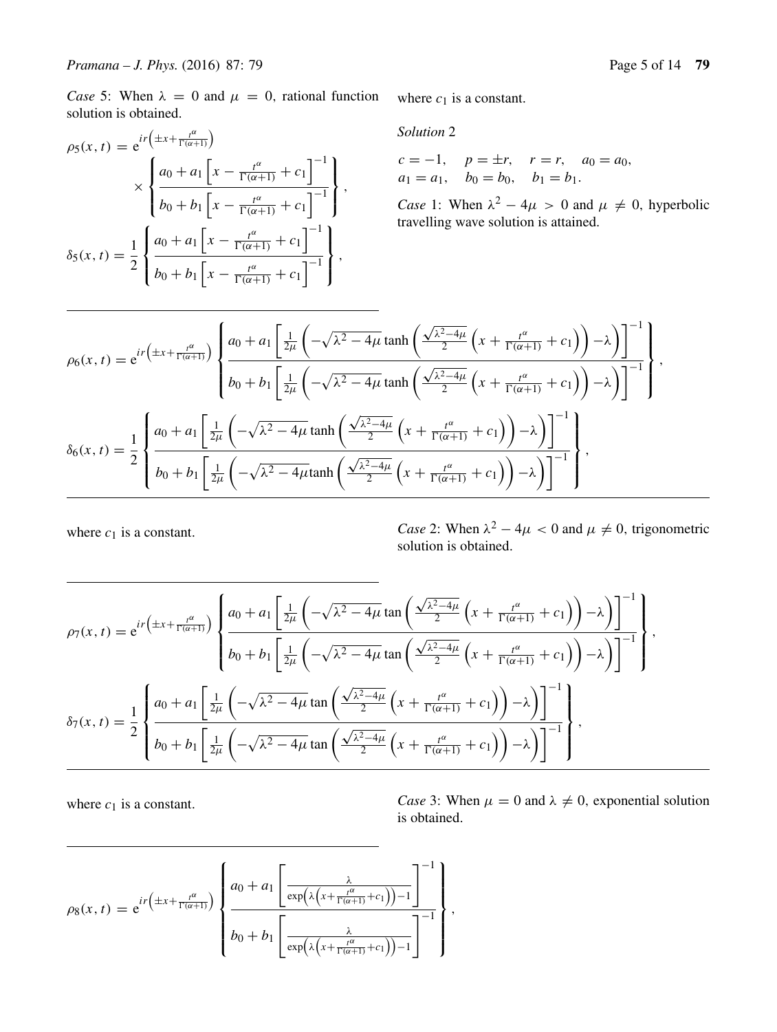*Case* 5: When  $\lambda = 0$  and  $\mu = 0$ , rational function solution is obtained.

$$
\rho_5(x,t) = e^{ir\left(\pm x + \frac{t^{\alpha}}{\Gamma(\alpha+1)}\right)} \times \left\{ \frac{a_0 + a_1 \left[x - \frac{t^{\alpha}}{\Gamma(\alpha+1)} + c_1\right]^{-1}}{b_0 + b_1 \left[x - \frac{t^{\alpha}}{\Gamma(\alpha+1)} + c_1\right]^{-1}} \right\},\,
$$
  

$$
\delta_5(x,t) = \frac{1}{2} \left\{ \frac{a_0 + a_1 \left[x - \frac{t^{\alpha}}{\Gamma(\alpha+1)} + c_1\right]^{-1}}{b_0 + b_1 \left[x - \frac{t^{\alpha}}{\Gamma(\alpha+1)} + c_1\right]^{-1}} \right\},\,
$$

where  $c_1$  is a constant.

*Solution* 2

 $c = -1$ ,  $p = \pm r$ ,  $r = r$ ,  $a_0 = a_0$ ,  $a_1 = a_1$ ,  $b_0 = b_0$ ,  $b_1 = b_1$ .

*Case* 1: When  $\lambda^2 - 4\mu > 0$  and  $\mu \neq 0$ , hyperbolic travelling wave solution is attained.

$$
\rho_6(x,t) = e^{ir\left(\pm x + \frac{t^{\alpha}}{\Gamma(\alpha+1)}\right)} \left\{ \frac{a_0 + a_1 \left[\frac{1}{2\mu} \left(-\sqrt{\lambda^2 - 4\mu} \tanh\left(\frac{\sqrt{\lambda^2 - 4\mu}}{2} \left(x + \frac{t^{\alpha}}{\Gamma(\alpha+1)} + c_1\right)\right) - \lambda\right)\right]^{-1}}{b_0 + b_1 \left[\frac{1}{2\mu} \left(-\sqrt{\lambda^2 - 4\mu} \tanh\left(\frac{\sqrt{\lambda^2 - 4\mu}}{2} \left(x + \frac{t^{\alpha}}{\Gamma(\alpha+1)} + c_1\right)\right) - \lambda\right)\right]^{-1}} \right\},\newline
$$

$$
\delta_6(x,t) = \frac{1}{2} \left\{ \frac{a_0 + a_1 \left[\frac{1}{2\mu} \left(-\sqrt{\lambda^2 - 4\mu} \tanh\left(\frac{\sqrt{\lambda^2 - 4\mu}}{2} \left(x + \frac{t^{\alpha}}{\Gamma(\alpha+1)} + c_1\right)\right) - \lambda\right)\right]^{-1}}{b_0 + b_1 \left[\frac{1}{2\mu} \left(-\sqrt{\lambda^2 - 4\mu} \tanh\left(\frac{\sqrt{\lambda^2 - 4\mu}}{2} \left(x + \frac{t^{\alpha}}{\Gamma(\alpha+1)} + c_1\right)\right) - \lambda\right)\right]^{-1}} \right\},
$$

where  $c_1$  is a constant. *Case* 2: When  $\lambda^2 - 4\mu < 0$  and  $\mu \neq 0$ , trigonometric solution is obtained.

$$
\rho_7(x,t) = e^{ir\left(\pm x + \frac{t^{\alpha}}{\Gamma(\alpha+1)}\right)} \left\{ \frac{a_0 + a_1 \left[\frac{1}{2\mu} \left(-\sqrt{\lambda^2 - 4\mu} \tan\left(\frac{\sqrt{\lambda^2 - 4\mu}}{2} \left(x + \frac{t^{\alpha}}{\Gamma(\alpha+1)} + c_1\right)\right) - \lambda\right)\right]^{-1}}{b_0 + b_1 \left[\frac{1}{2\mu} \left(-\sqrt{\lambda^2 - 4\mu} \tan\left(\frac{\sqrt{\lambda^2 - 4\mu}}{2} \left(x + \frac{t^{\alpha}}{\Gamma(\alpha+1)} + c_1\right)\right) - \lambda\right)\right]^{-1}} \right\},\,
$$
  

$$
\delta_7(x,t) = \frac{1}{2} \left\{ \frac{a_0 + a_1 \left[\frac{1}{2\mu} \left(-\sqrt{\lambda^2 - 4\mu} \tan\left(\frac{\sqrt{\lambda^2 - 4\mu}}{2} \left(x + \frac{t^{\alpha}}{\Gamma(\alpha+1)} + c_1\right)\right) - \lambda\right)\right]^{-1}}{b_0 + b_1 \left[\frac{1}{2\mu} \left(-\sqrt{\lambda^2 - 4\mu} \tan\left(\frac{\sqrt{\lambda^2 - 4\mu}}{2} \left(x + \frac{t^{\alpha}}{\Gamma(\alpha+1)} + c_1\right)\right) - \lambda\right)\right]^{-1}} \right\},
$$

where  $c_1$  is a constant. *Case* 3: When  $\mu = 0$  and  $\lambda \neq 0$ , exponential solution is obtained.

$$
\rho_8(x,t) = e^{ir\left(\pm x + \frac{t^{\alpha}}{\Gamma(\alpha+1)}\right)} \left\{ \frac{a_0 + a_1 \left[\frac{\lambda}{\exp\left(\lambda \left(x + \frac{t^{\alpha}}{\Gamma(\alpha+1)} + c_1\right)\right) - 1}\right]^{-1}}{b_0 + b_1 \left[\frac{\lambda}{\exp\left(\lambda \left(x + \frac{t^{\alpha}}{\Gamma(\alpha+1)} + c_1\right)\right) - 1}\right]^{-1}} \right\},\,
$$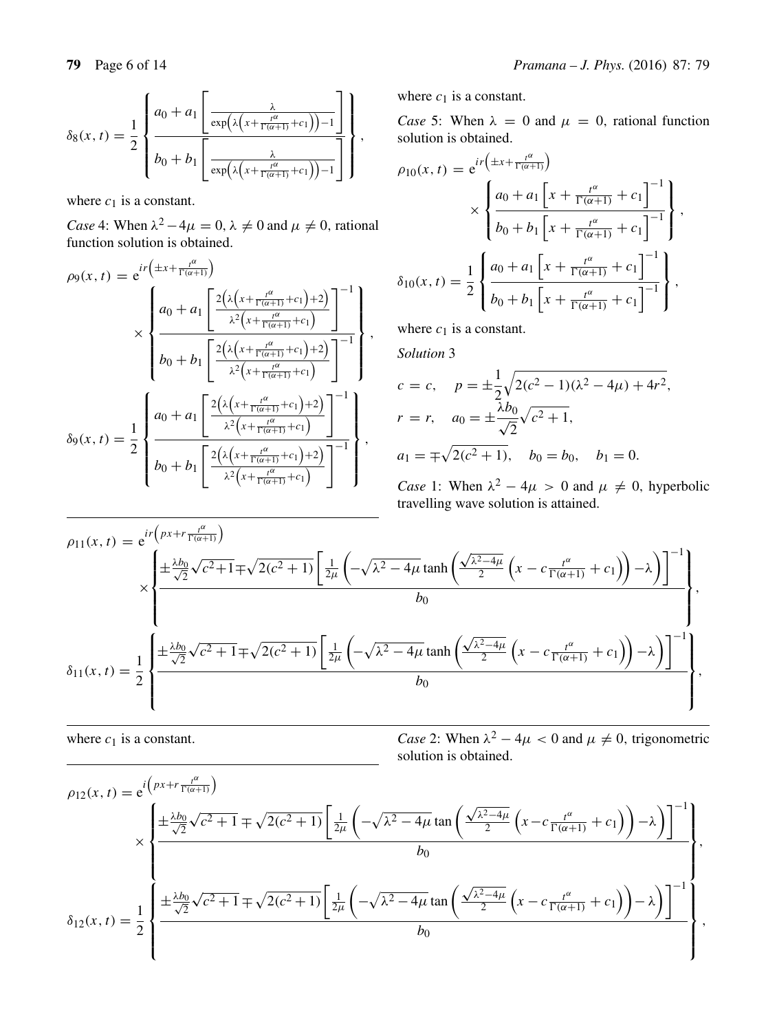where  $c_1$  is a constant.

*Case* 4: When  $\lambda^2 - 4\mu = 0$ ,  $\lambda \neq 0$  and  $\mu \neq 0$ , rational function solution is obtained.

$$
\rho_9(x,t) = e^{i\mathbf{r} \left( \pm x + \frac{t^{\alpha}}{\Gamma(\alpha+1)} \right)}
$$
\n
$$
\times \left\{ \frac{a_0 + a_1 \left[ \frac{2\left( \lambda \left( x + \frac{t^{\alpha}}{\Gamma(\alpha+1)} + c_1 \right) + 2 \right)}{\lambda^2 \left( x + \frac{t^{\alpha}}{\Gamma(\alpha+1)} + c_1 \right)} \right]^{-1}}{\lambda_0 + b_1 \left[ \frac{2\left( \lambda \left( x + \frac{t^{\alpha}}{\Gamma(\alpha+1)} + c_1 \right) + 2 \right)}{\lambda^2 \left( x + \frac{t^{\alpha}}{\Gamma(\alpha+1)} + c_1 \right)} \right]^{-1}} \right\},\,
$$
\n
$$
\delta_9(x,t) = \frac{1}{2} \left\{ \frac{a_0 + a_1 \left[ \frac{2\left( \lambda \left( x + \frac{t^{\alpha}}{\Gamma(\alpha+1)} + c_1 \right) + 2 \right)}{\lambda^2 \left( x + \frac{t^{\alpha}}{\Gamma(\alpha+1)} + c_1 \right)} \right]^{-1}}{\lambda_2 \left( x + \frac{t^{\alpha}}{\Gamma(\alpha+1)} + c_1 \right)} \right\},
$$

where  $c_1$  is a constant.

*Case* 5: When  $\lambda = 0$  and  $\mu = 0$ , rational function solution is obtained.

$$
\rho_{10}(x, t) = e^{i r \left( \pm x + \frac{t^{\alpha}}{\Gamma(\alpha+1)} \right)}
$$

$$
\times \left\{ \frac{a_0 + a_1 \left[ x + \frac{t^{\alpha}}{\Gamma(\alpha+1)} + c_1 \right]^{-1}}{b_0 + b_1 \left[ x + \frac{t^{\alpha}}{\Gamma(\alpha+1)} + c_1 \right]^{-1}} \right\},\
$$

$$
\delta_{10}(x, t) = \frac{1}{2} \left\{ \frac{a_0 + a_1 \left[ x + \frac{t^{\alpha}}{\Gamma(\alpha+1)} + c_1 \right]^{-1}}{b_0 + b_1 \left[ x + \frac{t^{\alpha}}{\Gamma(\alpha+1)} + c_1 \right]^{-1}} \right\},\
$$

where  $c_1$  is a constant.

*Solution* 3

$$
c = c, \quad p = \pm \frac{1}{2} \sqrt{2(c^2 - 1)(\lambda^2 - 4\mu) + 4r^2},
$$
  
\n
$$
r = r, \quad a_0 = \pm \frac{\lambda b_0}{\sqrt{2}} \sqrt{c^2 + 1},
$$
  
\n
$$
a_1 = \pm \sqrt{2(c^2 + 1)}, \quad b_0 = b_0, \quad b_1 = 0.
$$

*Case* 1: When  $\lambda^2 - 4\mu > 0$  and  $\mu \neq 0$ , hyperbolic travelling wave solution is attained.

$$
\rho_{11}(x,t) = e^{i r \left( px + r \frac{t^{\alpha}}{\Gamma(\alpha+1)} \right)} \times \begin{cases} \pm \frac{\lambda b_0}{\sqrt{2}} \sqrt{c^2 + 1} \mp \sqrt{2(c^2 + 1)} \left[ \frac{1}{2\mu} \left( -\sqrt{\lambda^2 - 4\mu} \tanh\left( \frac{\sqrt{\lambda^2 - 4\mu}}{2} \left( x - c \frac{t^{\alpha}}{\Gamma(\alpha+1)} + c_1 \right) \right) - \lambda \right) \right]^{-1} \\ b_0 \\ b_0 \end{cases},
$$

$$
\delta_{11}(x,t) = \frac{1}{2} \begin{cases} \pm \frac{\lambda b_0}{\sqrt{2}} \sqrt{c^2 + 1} \mp \sqrt{2(c^2 + 1)} \left[ \frac{1}{2\mu} \left( -\sqrt{\lambda^2 - 4\mu} \tanh\left( \frac{\sqrt{\lambda^2 - 4\mu}}{2} \left( x - c \frac{t^{\alpha}}{\Gamma(\alpha+1)} + c_1 \right) \right) - \lambda \right) \right]^{-1} \\ b_0 \end{cases},
$$

where  $c_1$  is a constant. *Case* 2: When  $\lambda^2 - 4\mu < 0$  and  $\mu \neq 0$ , trigonometric solution is obtained.

$$
\rho_{12}(x,t) = e^{i \left( px + r \frac{t^{\alpha}}{\Gamma(\alpha+1)} \right)} \times \begin{cases} \pm \frac{\lambda b_0}{\sqrt{2}} \sqrt{c^2 + 1} \mp \sqrt{2(c^2 + 1)} \left[ \frac{1}{2\mu} \left( -\sqrt{\lambda^2 - 4\mu} \tan \left( \frac{\sqrt{\lambda^2 - 4\mu}}{2} \left( x - c \frac{t^{\alpha}}{\Gamma(\alpha+1)} + c_1 \right) \right) - \lambda \right) \right]^{-1} \\ b_0 \\ b_0 \end{cases},
$$

$$
\delta_{12}(x,t) = \frac{1}{2} \begin{cases} \pm \frac{\lambda b_0}{\sqrt{2}} \sqrt{c^2 + 1} \mp \sqrt{2(c^2 + 1)} \left[ \frac{1}{2\mu} \left( -\sqrt{\lambda^2 - 4\mu} \tan \left( \frac{\sqrt{\lambda^2 - 4\mu}}{2} \left( x - c \frac{t^{\alpha}}{\Gamma(\alpha+1)} + c_1 \right) \right) - \lambda \right) \right]^{-1} \\ b_0 \end{cases},
$$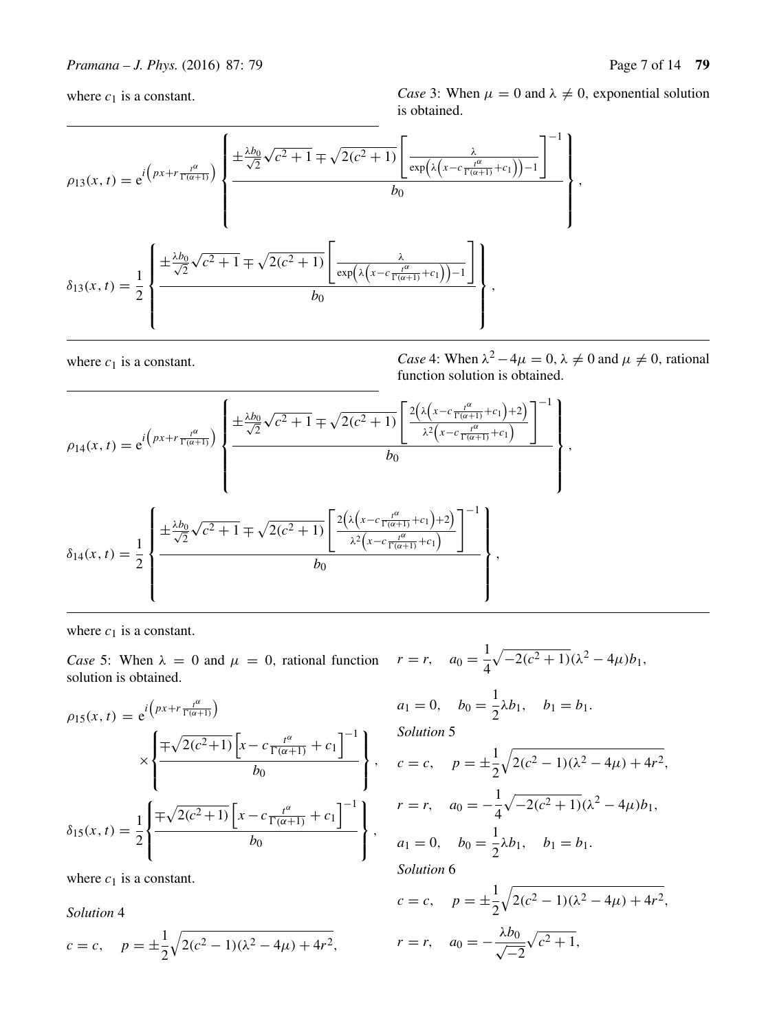where  $c_1$  is a constant. *Case* 3: When  $\mu = 0$  and  $\lambda \neq 0$ , exponential solution is obtained.

$$
\rho_{13}(x,t) = e^{i\left(px+r\frac{t^{\alpha}}{\Gamma(\alpha+1)}\right)} \left\{\frac{\pm \frac{\lambda b_0}{\sqrt{2}}\sqrt{c^2+1} \mp \sqrt{2(c^2+1)}\left[\frac{\lambda}{\exp\left(\lambda\left(x-c\frac{t^{\alpha}}{\Gamma(\alpha+1)}+c_1\right)\right)-1}{b_0}\right]^{-1}}{b_0}\right\},\,
$$

$$
\delta_{13}(x,t) = \frac{1}{2}\left\{\frac{\pm \frac{\lambda b_0}{\sqrt{2}}\sqrt{c^2+1} \mp \sqrt{2(c^2+1)}\left[\frac{\lambda}{\exp\left(\lambda\left(x-c\frac{t^{\alpha}}{\Gamma(\alpha+1)}+c_1\right)\right)-1}\right]}{b_0}\right\},\,
$$

where  $c_1$  is a constant. *Case* 4: When  $\lambda^2 - 4\mu = 0$ ,  $\lambda \neq 0$  and  $\mu \neq 0$ , rational function solution is obtained.

$$
\rho_{14}(x,t) = e^{i\left(px+r\frac{t^{\alpha}}{\Gamma(\alpha+1)}\right)} \left\{ \frac{\pm \frac{\lambda b_0}{\sqrt{2}}\sqrt{c^2+1} \mp \sqrt{2(c^2+1)} \left[ \frac{2\left(\lambda\left(x-c\frac{t^{\alpha}}{\Gamma(\alpha+1)}+c_1\right)+2\right)}{\lambda^2\left(x-c\frac{t^{\alpha}}{\Gamma(\alpha+1)}+c_1\right)} \right]^{-1}}{b_0} \right\},\,
$$
  

$$
\delta_{14}(x,t) = \frac{1}{2} \left\{ \frac{\pm \frac{\lambda b_0}{\sqrt{2}}\sqrt{c^2+1} \mp \sqrt{2(c^2+1)} \left[ \frac{2\left(\lambda\left(x-c\frac{t^{\alpha}}{\Gamma(\alpha+1)}+c_1\right)+2\right)}{\lambda^2\left(x-c\frac{t^{\alpha}}{\Gamma(\alpha+1)}+c_1\right)} \right]^{-1}}{b_0} \right\},
$$

where  $c_1$  is a constant.

*Case* 5: When  $\lambda = 0$  and  $\mu = 0$ , rational function  $r = r$ ,  $a_0 = \frac{1}{4}$ solution is obtained.

$$
\rho_{15}(x, t) = e^{i\left(px + r\frac{t^{\alpha}}{\Gamma(\alpha+1)}\right)} \times \left\{ \frac{\mp\sqrt{2(c^{2}+1)} \left[x - c\frac{t^{\alpha}}{\Gamma(\alpha+1)} + c_{1}\right]^{-1}}{b_{0}}\right\},\,
$$

$$
\delta_{15}(x, t) = \frac{1}{2} \left\{ \frac{\mp\sqrt{2(c^{2}+1)} \left[x - c\frac{t^{\alpha}}{\Gamma(\alpha+1)} + c_{1}\right]^{-1}}{b_{0}}\right\},\,
$$

where  $c_1$  is a constant.

*Solution* 4

$$
c = c
$$
,  $p = \pm \frac{1}{2} \sqrt{2(c^2 - 1)(\lambda^2 - 4\mu) + 4r^2}$ ,

$$
r = r, \quad a_0 = \frac{1}{4}\sqrt{-2(c^2 + 1)}(\lambda^2 - 4\mu)b_1,
$$
  
\n
$$
a_1 = 0, \quad b_0 = \frac{1}{2}\lambda b_1, \quad b_1 = b_1.
$$
  
\nSolution 5

*Solution* 5

$$
c = c, \quad p = \pm \frac{1}{2} \sqrt{2(c^2 - 1)(\lambda^2 - 4\mu) + 4r^2},
$$
  
\n
$$
r = r, \quad a_0 = -\frac{1}{4} \sqrt{-2(c^2 + 1)}(\lambda^2 - 4\mu)b_1,
$$
  
\n
$$
a_1 = 0, \quad b_0 = \frac{1}{2}\lambda b_1, \quad b_1 = b_1.
$$

*Solution* 6

$$
c = c, \quad p = \pm \frac{1}{2} \sqrt{2(c^2 - 1)(\lambda^2 - 4\mu) + 4r^2},
$$
  

$$
r = r, \quad a_0 = -\frac{\lambda b_0}{\sqrt{-2}} \sqrt{c^2 + 1},
$$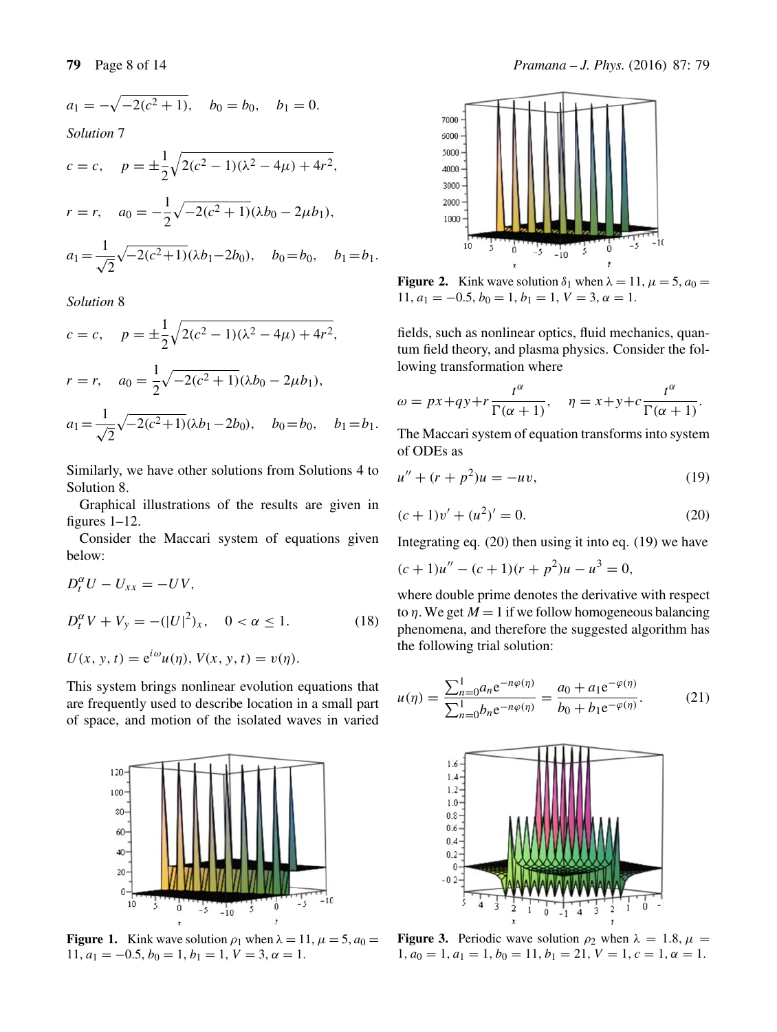$a_1 = -\sqrt{-2(c^2 + 1)}, \quad b_0 = b_0, \quad b_1 = 0.$ 

*Solution* 7

$$
c = c, \quad p = \pm \frac{1}{2} \sqrt{2(c^2 - 1)(\lambda^2 - 4\mu) + 4r^2},
$$
  

$$
r = r, \quad a_0 = -\frac{1}{2} \sqrt{-2(c^2 + 1)} (\lambda b_0 - 2\mu b_1),
$$
  

$$
a_1 = \frac{1}{\sqrt{2}} \sqrt{-2(c^2 + 1)} (\lambda b_1 - 2b_0), \quad b_0 = b_0, \quad b_1 = b_1.
$$

*Solution* 8

$$
c = c, \quad p = \pm \frac{1}{2} \sqrt{2(c^2 - 1)(\lambda^2 - 4\mu) + 4r^2},
$$
  
\n
$$
r = r, \quad a_0 = \frac{1}{2} \sqrt{-2(c^2 + 1)} (\lambda b_0 - 2\mu b_1),
$$
  
\n
$$
a_1 = \frac{1}{\sqrt{2}} \sqrt{-2(c^2 + 1)} (\lambda b_1 - 2b_0), \quad b_0 = b_0, \quad b_1 = b_1.
$$

Similarly, we have other solutions from Solutions 4 to Solution 8.

Graphical illustrations of the results are given in figures 1–12.

Consider the Maccari system of equations given below:

$$
D_t^{\alpha} U - U_{xx} = -UV,
$$
  
\n
$$
D_t^{\alpha} V + V_y = -(|U|^2)_x, \quad 0 < \alpha \le 1.
$$
 (18)

$$
U(x, y, t) = e^{i\omega}u(\eta), V(x, y, t) = v(\eta).
$$

This system brings nonlinear evolution equations that are frequently used to describe location in a small part of space, and motion of the isolated waves in varied



**Figure 1.** Kink wave solution  $\rho_1$  when  $\lambda = 11$ ,  $\mu = 5$ ,  $a_0 =$ 11,  $a_1 = -0.5$ ,  $b_0 = 1$ ,  $b_1 = 1$ ,  $V = 3$ ,  $\alpha = 1$ .



**Figure 2.** Kink wave solution  $\delta_1$  when  $\lambda = 11$ ,  $\mu = 5$ ,  $a_0 =$ 11,  $a_1 = -0.5, b_0 = 1, b_1 = 1, V = 3, \alpha = 1.$ 

fields, such as nonlinear optics, fluid mechanics, quantum field theory, and plasma physics. Consider the following transformation where

$$
\omega = px + qy + r \frac{t^{\alpha}}{\Gamma(\alpha + 1)}, \quad \eta = x + y + c \frac{t^{\alpha}}{\Gamma(\alpha + 1)}.
$$

The Maccari system of equation transforms into system of ODEs as

$$
u'' + (r + p^2)u = -uv,\t\t(19)
$$

$$
(c+1)v' + (u2)' = 0.
$$
 (20)

Integrating eq. (20) then using it into eq. (19) we have

$$
(c+1)u'' - (c+1)(r+p2)u - u3 = 0,
$$

where double prime denotes the derivative with respect to  $\eta$ . We get  $M = 1$  if we follow homogeneous balancing phenomena, and therefore the suggested algorithm has the following trial solution:

$$
u(\eta) = \frac{\sum_{n=0}^{1} a_n e^{-n\varphi(\eta)}}{\sum_{n=0}^{1} b_n e^{-n\varphi(\eta)}} = \frac{a_0 + a_1 e^{-\varphi(\eta)}}{b_0 + b_1 e^{-\varphi(\eta)}}.
$$
 (21)



**Figure 3.** Periodic wave solution  $\rho_2$  when  $\lambda = 1.8$ ,  $\mu =$  $1, a_0 = 1, a_1 = 1, b_0 = 11, b_1 = 21, V = 1, c = 1, \alpha = 1.$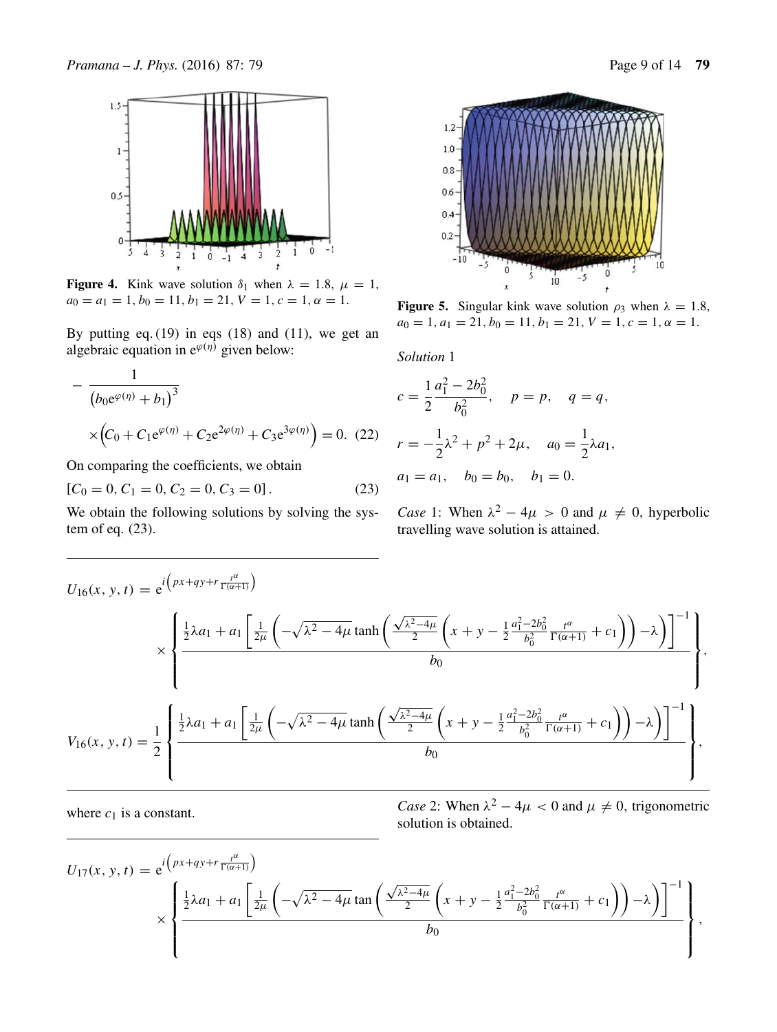

**Figure 4.** Kink wave solution  $\delta_1$  when  $\lambda = 1.8$ ,  $\mu = 1$ ,  $a_0 = a_1 = 1, b_0 = 11, b_1 = 21, V = 1, c = 1, \alpha = 1.$ 

By putting eq.  $(19)$  in eqs  $(18)$  and  $(11)$ , we get an algebraic equation in  $e^{\varphi(\eta)}$  given below:

$$
-\frac{1}{(b_0 e^{\varphi(\eta)} + b_1)^3} \times (C_0 + C_1 e^{\varphi(\eta)} + C_2 e^{2\varphi(\eta)} + C_3 e^{3\varphi(\eta)}) = 0.
$$
 (22)

On comparing the coefficients, we obtain

$$
[C_0 = 0, C_1 = 0, C_2 = 0, C_3 = 0].
$$
 (23)

We obtain the following solutions by solving the system of eq. (23).



**Figure 5.** Singular kink wave solution  $\rho_3$  when  $\lambda = 1.8$ ,  $a_0 = 1, a_1 = 21, b_0 = 11, b_1 = 21, V = 1, c = 1, \alpha = 1.$ 

*Solution* 1

$$
c = \frac{1}{2} \frac{a_1^2 - 2b_0^2}{b_0^2}, \quad p = p, \quad q = q,
$$
  

$$
r = -\frac{1}{2} \lambda^2 + p^2 + 2\mu, \quad a_0 = \frac{1}{2} \lambda a_1,
$$
  

$$
a_1 = a_1, \quad b_0 = b_0, \quad b_1 = 0.
$$

*Case* 1: When  $\lambda^2 - 4\mu > 0$  and  $\mu \neq 0$ , hyperbolic travelling wave solution is attained.

$$
U_{16}(x, y, t) = e^{i\left(px+qy+r\frac{t^{\alpha}}{\Gamma(\alpha+1)}\right)}
$$
  
\$\times \left\{\frac{\frac{1}{2}\lambda a\_{1} + a\_{1}\left[\frac{1}{2\mu}\left(-\sqrt{\lambda^{2}-4\mu}\tanh\left(\frac{\sqrt{\lambda^{2}-4\mu}}{2}\left(x+y-\frac{1}{2}\frac{a\_{1}^{2}-2b\_{0}^{2}}{b\_{0}^{2}}\frac{t^{\alpha}}{\Gamma(\alpha+1)}+c\_{1}\right)\right)-\lambda\right)\right]^{-1}}{b\_{0}}\right\}\$,},\,  

$$
V_{16}(x, y, t) = \frac{1}{2}\left\{\frac{\frac{1}{2}\lambda a_{1} + a_{1}\left[\frac{1}{2\mu}\left(-\sqrt{\lambda^{2}-4\mu}\tanh\left(\frac{\sqrt{\lambda^{2}-4\mu}}{2}\left(x+y-\frac{1}{2}\frac{a_{1}^{2}-2b_{0}^{2}}{b_{0}^{2}}\frac{t^{\alpha}}{\Gamma(\alpha+1)}+c_{1}\right)\right)-\lambda\right)\right]^{-1}}{b_{0}}\right\}$,},
$$

where  $c_1$  is a constant. *Case* 2: When  $\lambda^2 - 4\mu < 0$  and  $\mu \neq 0$ , trigonometric solution is obtained.

$$
U_{17}(x, y, t) = e^{i \left( px + qy + r \frac{t^{\alpha}}{\Gamma(\alpha+1)} \right)}
$$
  
\$\times \left\{ \frac{\frac{1}{2}\lambda a\_1 + a\_1 \left[ \frac{1}{2\mu} \left( -\sqrt{\lambda^2 - 4\mu} \tan \left( \frac{\sqrt{\lambda^2 - 4\mu}}{2} \left( x + y - \frac{1}{2} \frac{a\_1^2 - 2b\_0^2}{b\_0^2} \frac{t^{\alpha}}{\Gamma(\alpha+1)} + c\_1 \right) \right) - \lambda \right) \right]^{-1} \bigg\},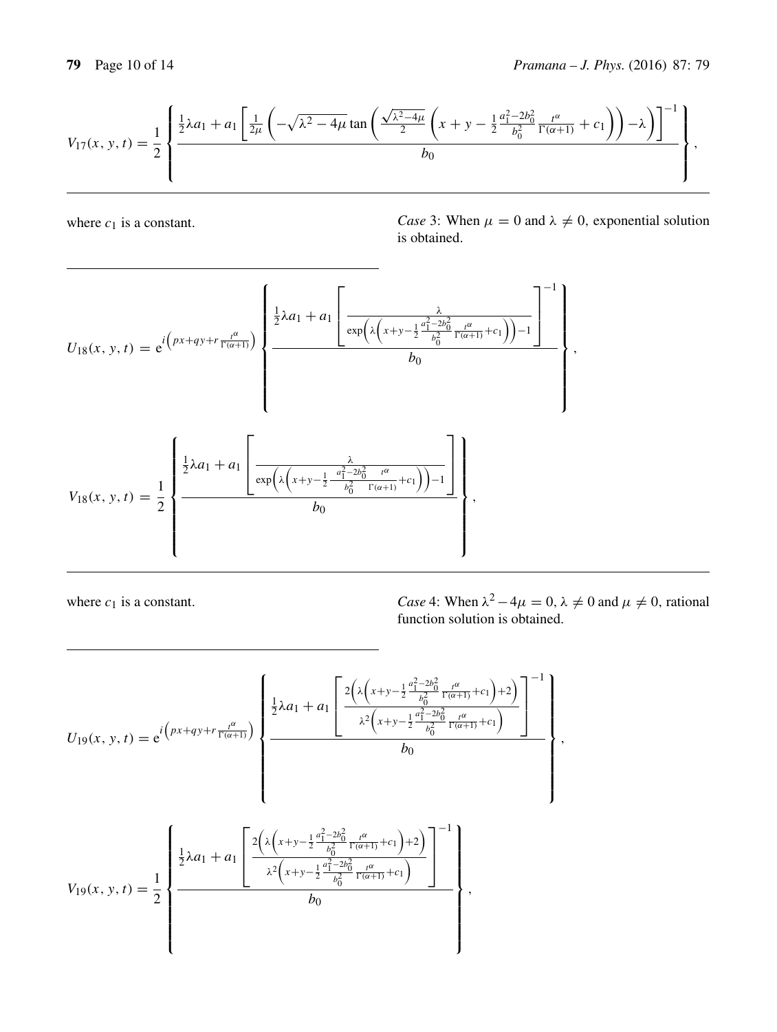

where  $c_1$  is a constant. *Case* 3: When  $\mu = 0$  and  $\lambda \neq 0$ , exponential solution is obtained.

$$
U_{18}(x, y, t) = e^{i\left(px+qy+r\frac{t^{\alpha}}{\Gamma(\alpha+1)}\right)} \left\{ \frac{\frac{1}{2}\lambda a_{1} + a_{1}\left[\frac{\lambda}{\exp\left(\lambda\left(x+y-\frac{1}{2}\frac{a_{1}^{2}-2b_{0}^{2}}{b_{0}^{2}}\frac{t^{\alpha}}{\Gamma(\alpha+1)}+c_{1}\right)\right)-1}{b_{0}}\right\}}{b_{0}} \right\},
$$
  

$$
V_{18}(x, y, t) = \frac{1}{2} \left\{ \frac{\frac{1}{2}\lambda a_{1} + a_{1}\left[\frac{\lambda}{\exp\left(\lambda\left(x+y-\frac{1}{2}\frac{a_{1}^{2}-2b_{0}^{2}}{b_{0}^{2}}\frac{t^{\alpha}}{\Gamma(\alpha+1)}+c_{1}\right)\right)-1}{b_{0}}\right\}}{b_{0}},
$$

where  $c_1$  is a constant. *Case* 4: When  $\lambda^2 - 4\mu = 0$ ,  $\lambda \neq 0$  and  $\mu \neq 0$ , rational function solution is obtained.

$$
U_{19}(x, y, t) = e^{i\left(px+qy+r\frac{a}{\Gamma(\alpha+1)}\right)} \left\{\frac{\frac{1}{2}\lambda a_1 + a_1 \left[\frac{2\left(\lambda\left(x+y-\frac{1}{2}\frac{a_1^2-2b_0^2}{b_0^2}\frac{a}{\Gamma(\alpha+1)}+c_1\right)+2\right)}{b_0}\right]^{-1}}{b_0}\right\}}{b_0}\right\}.
$$

$$
V_{19}(x, y, t) = \frac{1}{2}\left\{\frac{\frac{1}{2}\lambda a_1 + a_1 \left[\frac{2\left(\lambda\left(x+y-\frac{1}{2}\frac{a_1^2-2b_0^2}{b_0^2}\frac{a}{\Gamma(\alpha+1)}+c_1\right)+2\right)}{b_0}\right]^{-1}}{\lambda^2\left(x+y-\frac{1}{2}\frac{a_1^2-2b_0^2}{b_0^2}\frac{a}{\Gamma(\alpha+1)}+c_1\right)}{b_0}\right\}}.
$$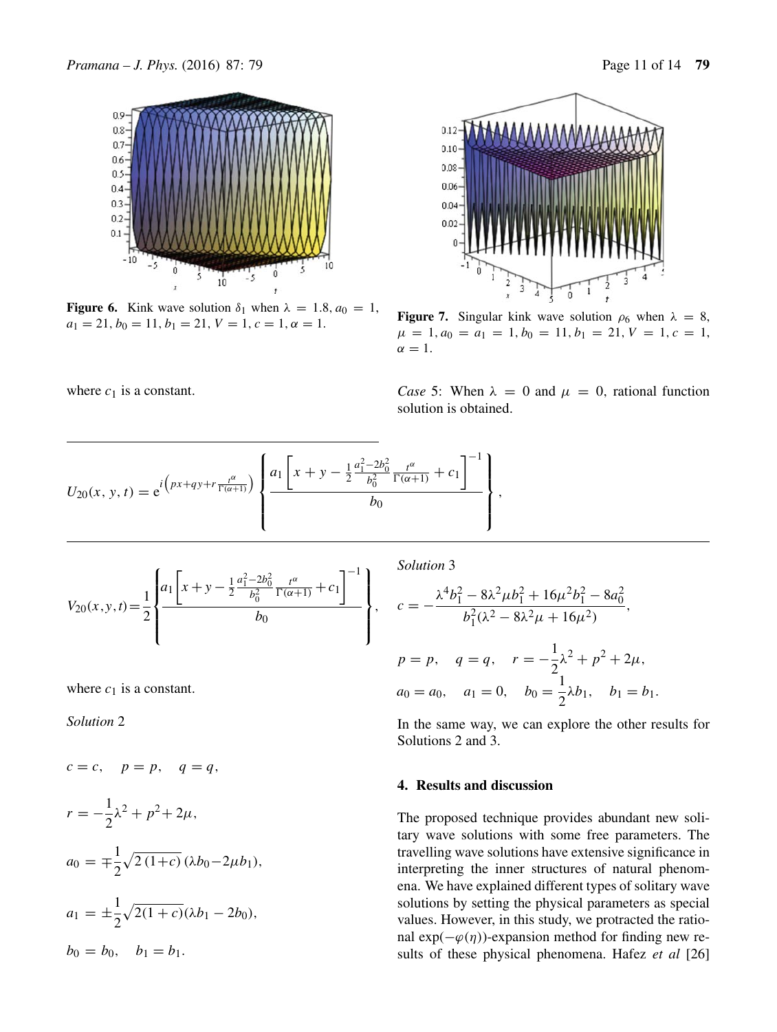$0.9$ 

 $0.8$  $0.7$ 

 $0.6$ 

 $0.5$ 

 $0.4$  $0.3$ 

 $0.2$ 

 $0.1$ 



 $-5$ 

**Figure 6.** Kink wave solution  $\delta_1$  when  $\lambda = 1.8$ ,  $a_0 = 1$ ,  $a_1 = 21, b_0 = 11, b_1 = 21, V = 1, c = 1, \alpha = 1.$ 

 $10$ 



 $0.12$ 

 $0.10$ 

0.08

0.06

**Figure 7.** Singular kink wave solution  $\rho_6$  when  $\lambda = 8$ ,  $\mu = 1, a_0 = a_1 = 1, b_0 = 11, b_1 = 21, V = 1, c = 1,$  $\alpha = 1$ .

where  $c_1$  is a constant. *Case* 5: When  $\lambda = 0$  and  $\mu = 0$ , rational function solution is obtained.

$$
U_{20}(x, y, t) = e^{i \left( px + qy + r \frac{t^{\alpha}}{\Gamma(\alpha+1)} \right)} \left\{ \frac{a_1 \left[ x + y - \frac{1}{2} \frac{a_1^2 - 2b_0^2}{b_0^2} \frac{t^{\alpha}}{\Gamma(\alpha+1)} + c_1 \right]^{-1}}{b_0} \right\},
$$

$$
V_{20}(x, y, t) = \frac{1}{2} \left\{ \frac{a_1 \left[x + y - \frac{1}{2} \frac{a_1^2 - 2b_0^2}{b_0^2} \frac{t^{\alpha}}{\Gamma(\alpha + 1)} + c_1\right]^{-1}}{b_0} \right\},\,
$$

where  $c_1$  is a constant.

*Solution* 2

 $c = c$ ,  $p = p$ ,  $q = q$ ,  $r = -\frac{1}{2}\lambda^2 + p^2 + 2\mu,$  $a_0 = \pm \frac{1}{2}$ 2  $\sqrt{2(1+c)} (\lambda b_0 - 2\mu b_1),$  $a_1 = \pm \frac{1}{2}$ 2  $\sqrt{2(1+c)}(\lambda b_1 - 2b_0),$  $b_0 = b_0$ ,  $b_1 = b_1$ .

*Solution* 3

$$
c = -\frac{\lambda^4 b_1^2 - 8\lambda^2 \mu b_1^2 + 16\mu^2 b_1^2 - 8a_0^2}{b_1^2 (\lambda^2 - 8\lambda^2 \mu + 16\mu^2)},
$$
  
\n
$$
p = p, \quad q = q, \quad r = -\frac{1}{2}\lambda^2 + p^2 + 2\mu,
$$
  
\n
$$
a_0 = a_0, \quad a_1 = 0, \quad b_0 = \frac{1}{2}\lambda b_1, \quad b_1 = b_1.
$$

In the same way, we can explore the other results for Solutions 2 and 3.

## **4. Results and discussion**

The proposed technique provides abundant new solitary wave solutions with some free parameters. The travelling wave solutions have extensive significance in interpreting the inner structures of natural phenomena. We have explained different types of solitary wave solutions by setting the physical parameters as special values. However, in this study, we protracted the rational exp( $-\varphi(\eta)$ )-expansion method for finding new results of these physical phenomena. Hafez *et al* [26]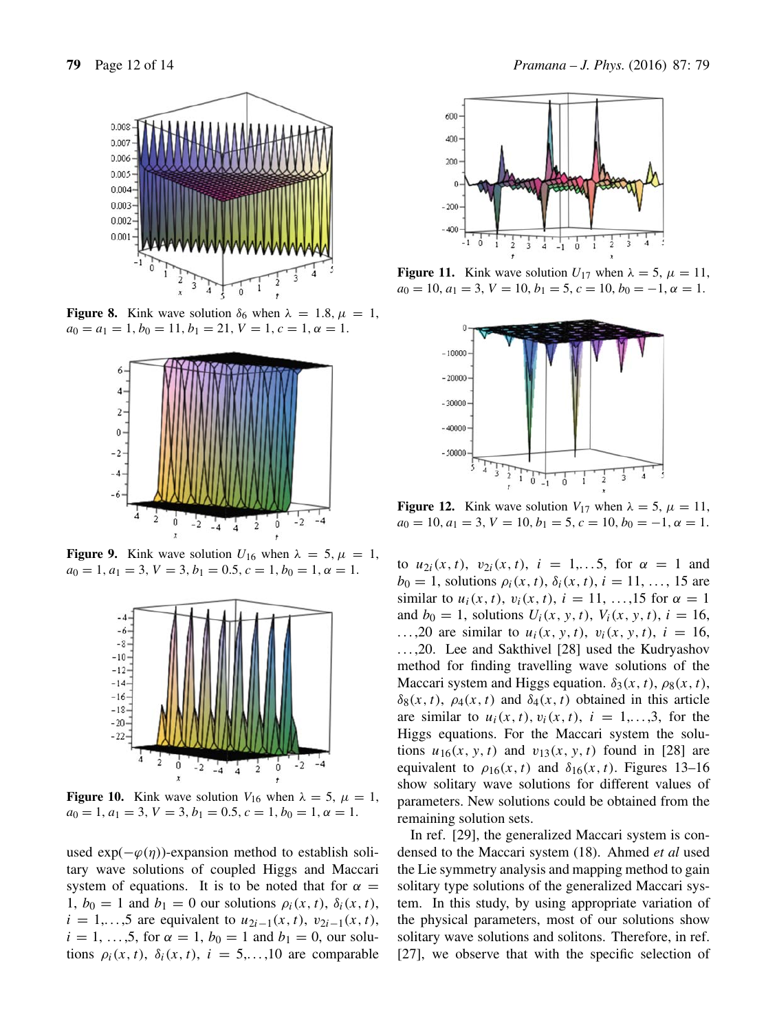

**Figure 8.** Kink wave solution  $\delta_6$  when  $\lambda = 1.8$ ,  $\mu = 1$ ,  $a_0 = a_1 = 1, b_0 = 11, b_1 = 21, V = 1, c = 1, \alpha = 1.$ 



**Figure 9.** Kink wave solution  $U_{16}$  when  $\lambda = 5$ ,  $\mu = 1$ ,  $a_0 = 1, a_1 = 3, V = 3, b_1 = 0.5, c = 1, b_0 = 1, \alpha = 1.$ 



**Figure 10.** Kink wave solution  $V_{16}$  when  $\lambda = 5$ ,  $\mu = 1$ ,  $a_0 = 1, a_1 = 3, V = 3, b_1 = 0.5, c = 1, b_0 = 1, \alpha = 1.$ 

used  $exp(-\varphi(\eta))$ -expansion method to establish solitary wave solutions of coupled Higgs and Maccari system of equations. It is to be noted that for  $\alpha =$ 1,  $b_0 = 1$  and  $b_1 = 0$  our solutions  $\rho_i(x, t)$ ,  $\delta_i(x, t)$ ,  $i = 1,...,5$  are equivalent to  $u_{2i-1}(x, t)$ ,  $v_{2i-1}(x, t)$ ,  $i = 1, ..., 5$ , for  $\alpha = 1, b_0 = 1$  and  $b_1 = 0$ , our solutions  $\rho_i(x, t)$ ,  $\delta_i(x, t)$ ,  $i = 5,...,10$  are comparable



**Figure 11.** Kink wave solution  $U_{17}$  when  $\lambda = 5$ ,  $\mu = 11$ ,  $a_0 = 10, a_1 = 3, V = 10, b_1 = 5, c = 10, b_0 = -1, \alpha = 1.$ 



**Figure 12.** Kink wave solution  $V_{17}$  when  $\lambda = 5$ ,  $\mu = 11$ ,  $a_0 = 10, a_1 = 3, V = 10, b_1 = 5, c = 10, b_0 = -1, \alpha = 1.$ 

to  $u_{2i}(x, t)$ ,  $v_{2i}(x, t)$ ,  $i = 1,...5$ , for  $\alpha = 1$  and  $b_0 = 1$ , solutions  $\rho_i(x, t)$ ,  $\delta_i(x, t)$ ,  $i = 11, \ldots, 15$  are similar to  $u_i(x, t)$ ,  $v_i(x, t)$ ,  $i = 11, ..., 15$  for  $\alpha = 1$ and  $b_0 = 1$ , solutions  $U_i(x, y, t)$ ,  $V_i(x, y, t)$ ,  $i = 16$ , ...,20 are similar to  $u_i(x, y, t)$ ,  $v_i(x, y, t)$ ,  $i = 16$ , ..., 20. Lee and Sakthivel [28] used the Kudryashov method for finding travelling wave solutions of the Maccari system and Higgs equation.  $\delta_3(x, t)$ ,  $\rho_8(x, t)$ ,  $\delta_8(x, t)$ ,  $\rho_4(x, t)$  and  $\delta_4(x, t)$  obtained in this article are similar to  $u_i(x, t)$ ,  $v_i(x, t)$ ,  $i = 1,...,3$ , for the Higgs equations. For the Maccari system the solutions  $u_{16}(x, y, t)$  and  $v_{13}(x, y, t)$  found in [28] are equivalent to  $\rho_{16}(x, t)$  and  $\delta_{16}(x, t)$ . Figures 13–16 show solitary wave solutions for different values of parameters. New solutions could be obtained from the remaining solution sets.

In ref. [29], the generalized Maccari system is condensed to the Maccari system (18). Ahmed *et al* used the Lie symmetry analysis and mapping method to gain solitary type solutions of the generalized Maccari system. In this study, by using appropriate variation of the physical parameters, most of our solutions show solitary wave solutions and solitons. Therefore, in ref. [27], we observe that with the specific selection of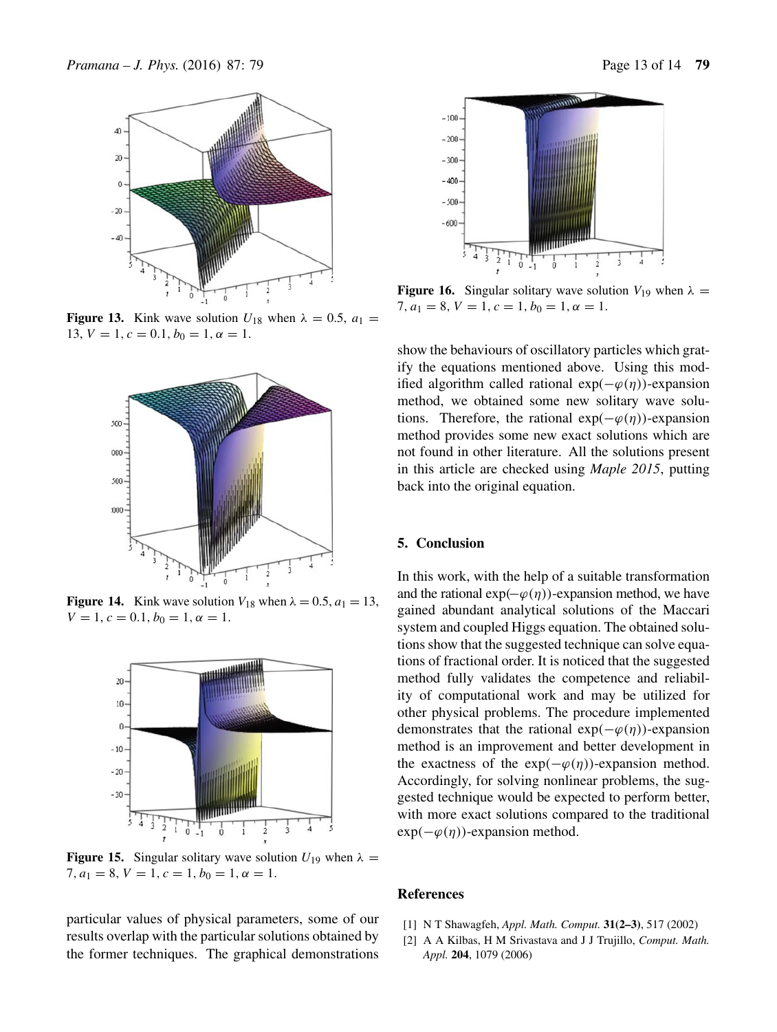

**Figure 13.** Kink wave solution  $U_{18}$  when  $\lambda = 0.5$ ,  $a_1 =$ 13,  $V = 1$ ,  $c = 0.1$ ,  $b_0 = 1$ ,  $\alpha = 1$ .



**Figure 14.** Kink wave solution  $V_{18}$  when  $\lambda = 0.5$ ,  $a_1 = 13$ ,  $V = 1, c = 0.1, b_0 = 1, \alpha = 1.$ 



**Figure 15.** Singular solitary wave solution  $U_{19}$  when  $\lambda =$ 7,  $a_1 = 8$ ,  $V = 1$ ,  $c = 1$ ,  $b_0 = 1$ ,  $\alpha = 1$ .

particular values of physical parameters, some of our results overlap with the particular solutions obtained by the former techniques. The graphical demonstrations



**Figure 16.** Singular solitary wave solution  $V_{19}$  when  $\lambda =$ 7,  $a_1 = 8$ ,  $V = 1$ ,  $c = 1$ ,  $b_0 = 1$ ,  $\alpha = 1$ .

show the behaviours of oscillatory particles which gratify the equations mentioned above. Using this modified algorithm called rational  $exp(-\varphi(\eta))$ -expansion method, we obtained some new solitary wave solutions. Therefore, the rational  $exp(-\varphi(\eta))$ -expansion method provides some new exact solutions which are not found in other literature. All the solutions present in this article are checked using *Maple 2015*, putting back into the original equation.

#### **5. Conclusion**

In this work, with the help of a suitable transformation and the rational  $exp(-\varphi(\eta))$ -expansion method, we have gained abundant analytical solutions of the Maccari system and coupled Higgs equation. The obtained solutions show that the suggested technique can solve equations of fractional order. It is noticed that the suggested method fully validates the competence and reliability of computational work and may be utilized for other physical problems. The procedure implemented demonstrates that the rational  $exp(-\varphi(\eta))$ -expansion method is an improvement and better development in the exactness of the  $exp(-\varphi(\eta))$ -expansion method. Accordingly, for solving nonlinear problems, the suggested technique would be expected to perform better, with more exact solutions compared to the traditional  $exp(-\varphi(\eta))$ -expansion method.

#### **References**

- [1] N T Shawagfeh, *Appl. Math. Comput.* **31(2–3)**, 517 (2002)
- [2] A A Kilbas, H M Srivastava and J J Trujillo, *Comput. Math. Appl.* **204**, 1079 (2006)